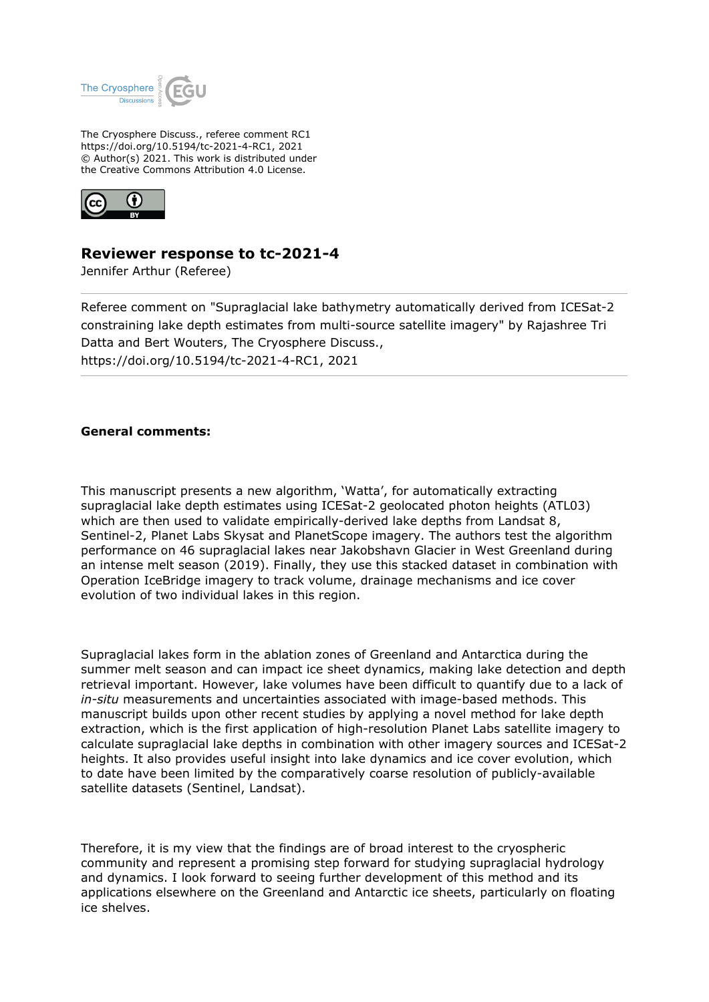

The Cryosphere Discuss., referee comment RC1 https://doi.org/10.5194/tc-2021-4-RC1, 2021 © Author(s) 2021. This work is distributed under the Creative Commons Attribution 4.0 License.



## **Reviewer response to tc-2021-4**

Jennifer Arthur (Referee)

Referee comment on "Supraglacial lake bathymetry automatically derived from ICESat-2 constraining lake depth estimates from multi-source satellite imagery" by Rajashree Tri Datta and Bert Wouters, The Cryosphere Discuss., https://doi.org/10.5194/tc-2021-4-RC1, 2021

## **General comments:**

This manuscript presents a new algorithm, 'Watta', for automatically extracting supraglacial lake depth estimates using ICESat-2 geolocated photon heights (ATL03) which are then used to validate empirically-derived lake depths from Landsat 8, Sentinel-2, Planet Labs Skysat and PlanetScope imagery. The authors test the algorithm performance on 46 supraglacial lakes near Jakobshavn Glacier in West Greenland during an intense melt season (2019). Finally, they use this stacked dataset in combination with Operation IceBridge imagery to track volume, drainage mechanisms and ice cover evolution of two individual lakes in this region.

Supraglacial lakes form in the ablation zones of Greenland and Antarctica during the summer melt season and can impact ice sheet dynamics, making lake detection and depth retrieval important. However, lake volumes have been difficult to quantify due to a lack of *in-situ* measurements and uncertainties associated with image-based methods. This manuscript builds upon other recent studies by applying a novel method for lake depth extraction, which is the first application of high-resolution Planet Labs satellite imagery to calculate supraglacial lake depths in combination with other imagery sources and ICESat-2 heights. It also provides useful insight into lake dynamics and ice cover evolution, which to date have been limited by the comparatively coarse resolution of publicly-available satellite datasets (Sentinel, Landsat).

Therefore, it is my view that the findings are of broad interest to the cryospheric community and represent a promising step forward for studying supraglacial hydrology and dynamics. I look forward to seeing further development of this method and its applications elsewhere on the Greenland and Antarctic ice sheets, particularly on floating ice shelves.